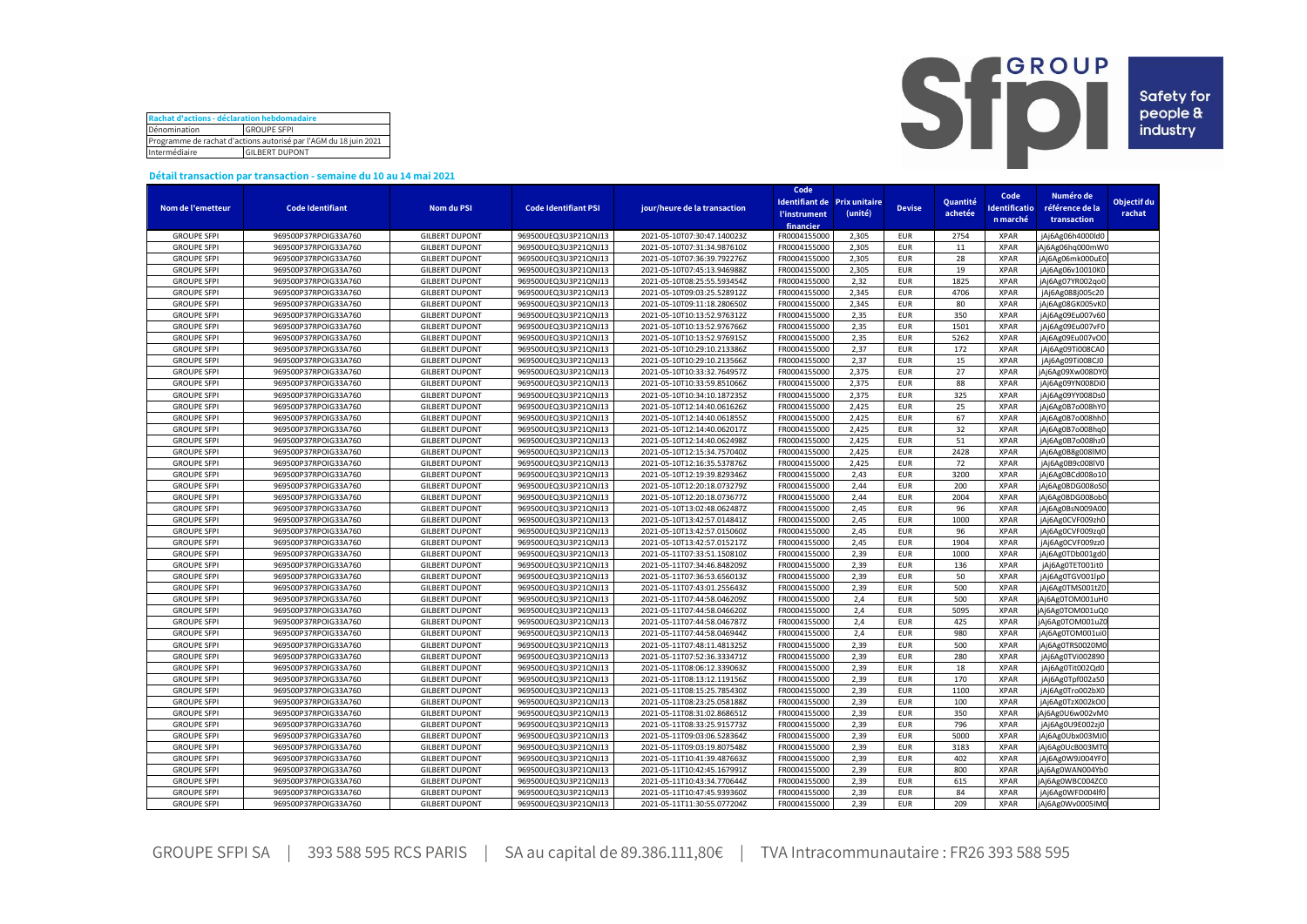| Rachat d'actions - déclaration hebdomadaire                      |  |  |  |  |  |  |  |
|------------------------------------------------------------------|--|--|--|--|--|--|--|
| Dénomination<br><b>GROUPE SFPI</b>                               |  |  |  |  |  |  |  |
| Programme de rachat d'actions autorisé par l'AGM du 18 juin 2021 |  |  |  |  |  |  |  |
| Intermédiaire<br><b>GILBERT DUPONT</b>                           |  |  |  |  |  |  |  |



## **Détail transaction par transaction - semaine du 10 au 14 mai 2021**

|                    |                         |                       |                             |                              | Code                              |                              |               |          |                      |                  |             |
|--------------------|-------------------------|-----------------------|-----------------------------|------------------------------|-----------------------------------|------------------------------|---------------|----------|----------------------|------------------|-------------|
|                    |                         |                       |                             |                              |                                   | Identifiant de Prix unitaire |               | Quantité | Code                 | Numéro de        | Objectif du |
| Nom de l'emetteur  | <b>Code Identifiant</b> | <b>Nom du PSI</b>     | <b>Code Identifiant PSI</b> | jour/heure de la transaction | <b><i><u>l'instrument</u></i></b> | (unité)                      | <b>Devise</b> | achetée  | <b>Identificatio</b> | référence de la  | rachat      |
|                    |                         |                       |                             |                              | financier                         |                              |               |          | n marché             | transaction      |             |
| <b>GROUPE SFPI</b> | 969500P37RPOIG33A760    | <b>GILBERT DUPONT</b> | 969500UEQ3U3P21QNJ13        | 2021-05-10T07:30:47.140023Z  | FR0004155000                      | 2,305                        | <b>EUR</b>    | 2754     | <b>XPAR</b>          | jAj6Ag06h4000ld0 |             |
| <b>GROUPE SFPI</b> | 969500P37RPOIG33A760    | <b>GILBERT DUPONT</b> | 969500UEQ3U3P21QNJ13        | 2021-05-10T07:31:34.987610Z  | FR0004155000                      | 2,305                        | <b>EUR</b>    | 11       | <b>XPAR</b>          | jAj6Ag06hq000mW0 |             |
| <b>GROUPE SFPI</b> | 969500P37RPOIG33A760    | <b>GILBERT DUPONT</b> | 969500UEQ3U3P21QNJ13        | 2021-05-10T07:36:39.792276Z  | FR0004155000                      | 2,305                        | <b>EUR</b>    | 28       | <b>XPAR</b>          | jAj6Ag06mk000uE0 |             |
| <b>GROUPE SFPI</b> | 969500P37RPOIG33A760    | <b>GILBERT DUPONT</b> | 969500UEQ3U3P21QNJ13        | 2021-05-10T07:45:13.946988Z  | FR0004155000                      | 2,305                        | <b>EUR</b>    | 19       | <b>XPAR</b>          | jAj6Ag06v10010K0 |             |
| <b>GROUPE SFPI</b> | 969500P37RPOIG33A760    | <b>GILBERT DUPONT</b> | 969500UEQ3U3P21QNJ13        | 2021-05-10T08:25:55.593454Z  | FR0004155000                      | 2.32                         | <b>EUR</b>    | 1825     | <b>XPAR</b>          | jAj6Ag07YR002qo0 |             |
| <b>GROUPE SFPI</b> | 969500P37RPOIG33A760    | <b>GILBERT DUPONT</b> | 969500UEQ3U3P21QNJ13        | 2021-05-10T09:03:25.528912Z  | FR0004155000                      | 2.345                        | <b>EUR</b>    | 4706     | <b>XPAR</b>          | jAj6Ag088j005c20 |             |
| <b>GROUPE SFPI</b> | 969500P37RPOIG33A760    | <b>GILBERT DUPONT</b> | 969500UEQ3U3P21QNJ13        | 2021-05-10T09:11:18.280650Z  | FR0004155000                      | 2,345                        | <b>EUR</b>    | 80       | <b>XPAR</b>          | jAj6Ag08GK005vK0 |             |
| <b>GROUPE SFPI</b> | 969500P37RPOIG33A760    | <b>GILBERT DUPONT</b> | 969500UEQ3U3P21QNJ13        | 2021-05-10T10:13:52.976312Z  | FR0004155000                      | 2,35                         | <b>EUR</b>    | 350      | <b>XPAR</b>          | jAj6Ag09Eu007v60 |             |
| <b>GROUPE SFPI</b> | 969500P37RPOIG33A760    | <b>GILBERT DUPONT</b> | 969500UEQ3U3P21QNJ13        | 2021-05-10T10:13:52.976766Z  | FR0004155000                      | 2,35                         | <b>EUR</b>    | 1501     | <b>XPAR</b>          | jAj6Ag09Eu007vF0 |             |
| <b>GROUPE SFPI</b> | 969500P37RPOIG33A760    | <b>GILBERT DUPONT</b> | 969500UEQ3U3P21QNJ13        | 2021-05-10T10:13:52.976915Z  | FR0004155000                      | 2,35                         | <b>EUR</b>    | 5262     | <b>XPAR</b>          | jAj6Ag09Eu007vO0 |             |
|                    |                         |                       |                             |                              |                                   | 2,37                         | <b>EUR</b>    | 172      |                      |                  |             |
| <b>GROUPE SFPI</b> | 969500P37RPOIG33A760    | <b>GILBERT DUPONT</b> | 969500UEQ3U3P21QNJ13        | 2021-05-10T10:29:10.213386Z  | FR0004155000                      |                              |               |          | <b>XPAR</b>          | jAj6Ag09Ti008CA0 |             |
| <b>GROUPE SFPI</b> | 969500P37RPOIG33A760    | <b>GILBERT DUPONT</b> | 969500UEQ3U3P21QNJ13        | 2021-05-10T10:29:10.213566Z  | FR0004155000                      | 2,37                         | <b>EUR</b>    | 15       | <b>XPAR</b>          | jAj6Ag09Ti008CJ0 |             |
| <b>GROUPE SFPI</b> | 969500P37RPOIG33A760    | <b>GILBERT DUPONT</b> | 969500UEQ3U3P21QNJ13        | 2021-05-10T10:33:32.764957Z  | FR0004155000                      | 2,375                        | <b>EUR</b>    | 27       | <b>XPAR</b>          | jAj6Ag09Xw008DY0 |             |
| <b>GROUPE SFPI</b> | 969500P37RPOIG33A760    | <b>GILBERT DUPONT</b> | 969500UEQ3U3P21QNJ13        | 2021-05-10T10:33:59.851066Z  | FR0004155000                      | 2,375                        | <b>EUR</b>    | 88       | <b>XPAR</b>          | jAj6Ag09YN008Di0 |             |
| <b>GROUPE SFPI</b> | 969500P37RPOIG33A760    | <b>GILBERT DUPONT</b> | 969500UEQ3U3P21QNJ13        | 2021-05-10T10:34:10.187235Z  | FR0004155000                      | 2,375                        | <b>EUR</b>    | 325      | <b>XPAR</b>          | jAj6Ag09YY008Ds0 |             |
| <b>GROUPE SFPI</b> | 969500P37RPOIG33A760    | <b>GILBERT DUPONT</b> | 969500UEQ3U3P21QNJ13        | 2021-05-10T12:14:40.061626Z  | FR0004155000                      | 2,425                        | <b>EUR</b>    | 25       | <b>XPAR</b>          | jAj6Ag0B7o008hY0 |             |
| <b>GROUPE SFPI</b> | 969500P37RPOIG33A760    | <b>GILBERT DUPONT</b> | 969500UEQ3U3P21QNJ13        | 2021-05-10T12:14:40.061855Z  | FR0004155000                      | 2,425                        | <b>EUR</b>    | 67       | <b>XPAR</b>          | jAj6Ag0B7o008hh0 |             |
| <b>GROUPE SFPI</b> | 969500P37RPOIG33A760    | <b>GILBERT DUPONT</b> | 969500UEQ3U3P21QNJ13        | 2021-05-10T12:14:40.062017Z  | FR0004155000                      | 2,425                        | <b>EUR</b>    | 32       | <b>XPAR</b>          | jAj6Ag0B7o008hq0 |             |
| <b>GROUPE SFPI</b> | 969500P37RPOIG33A760    | <b>GILBERT DUPONT</b> | 969500UEQ3U3P21QNJ13        | 2021-05-10T12:14:40.062498Z  | FR0004155000                      | 2,425                        | <b>EUR</b>    | 51       | <b>XPAR</b>          | jAj6Ag0B7o008hz0 |             |
| <b>GROUPE SFPI</b> | 969500P37RPOIG33A760    | <b>GILBERT DUPONT</b> | 969500UEQ3U3P21QNJ13        | 2021-05-10T12:15:34.757040Z  | FR000415500                       | 2,425                        | <b>EUR</b>    | 2428     | <b>XPAR</b>          | jAj6Ag0B8g008lM0 |             |
| <b>GROUPE SFPI</b> | 969500P37RPOIG33A760    | <b>GILBERT DUPONT</b> | 969500UEQ3U3P21QNJ13        | 2021-05-10T12:16:35.537876Z  | FR0004155000                      | 2,425                        | <b>EUR</b>    | 72       | <b>XPAR</b>          | jAj6Ag0B9c008lV0 |             |
| <b>GROUPE SFPI</b> | 969500P37RPOIG33A760    | <b>GILBERT DUPONT</b> | 969500UEQ3U3P21QNJ13        | 2021-05-10T12:19:39.829346Z  | FR0004155000                      | 2,43                         | <b>EUR</b>    | 3200     | <b>XPAR</b>          | jAj6Ag0BCd008o10 |             |
| <b>GROUPE SFPI</b> | 969500P37RPOIG33A760    | <b>GILBERT DUPONT</b> | 969500UEQ3U3P21QNJ13        | 2021-05-10T12:20:18.073279Z  | FR0004155000                      | 2,44                         | <b>EUR</b>    | 200      | <b>XPAR</b>          | jAj6Ag0BDG008oS0 |             |
| <b>GROUPE SFPI</b> | 969500P37RPOIG33A760    | <b>GILBERT DUPONT</b> | 969500UEQ3U3P21QNJ13        | 2021-05-10T12:20:18.073677Z  | FR0004155000                      | 2,44                         | <b>EUR</b>    | 2004     | <b>XPAR</b>          | jAj6Ag0BDG008obC |             |
| <b>GROUPE SFPI</b> | 969500P37RPOIG33A760    | <b>GILBERT DUPONT</b> | 969500UEQ3U3P21QNJ13        | 2021-05-10T13:02:48.062487Z  | FR0004155000                      | 2,45                         | <b>EUR</b>    | 96       | <b>XPAR</b>          | jAj6Ag0BsN009A00 |             |
| <b>GROUPE SFPI</b> | 969500P37RPOIG33A760    | <b>GILBERT DUPONT</b> | 969500UEQ3U3P21QNJ13        | 2021-05-10T13:42:57.014841Z  | FR0004155000                      | 2,45                         | <b>EUR</b>    | 1000     | <b>XPAR</b>          | jAj6Ag0CVF009zh0 |             |
| <b>GROUPE SFPI</b> | 969500P37RPOIG33A760    | <b>GILBERT DUPONT</b> | 969500UEQ3U3P21QNJ13        | 2021-05-10T13:42:57.015060Z  | FR0004155000                      | 2,45                         | <b>EUR</b>    | 96       | <b>XPAR</b>          | jAj6Ag0CVF009zq0 |             |
| <b>GROUPE SFPI</b> | 969500P37RPOIG33A760    | <b>GILBERT DUPONT</b> | 969500UEQ3U3P21QNJ13        | 2021-05-10T13:42:57.015217Z  | FR0004155000                      | 2,45                         | <b>EUR</b>    | 1904     | <b>XPAR</b>          | jAj6Ag0CVF009zz0 |             |
| <b>GROUPE SFPI</b> | 969500P37RPOIG33A760    | <b>GILBERT DUPONT</b> | 969500UEQ3U3P21QNJ13        | 2021-05-11T07:33:51.150810Z  | FR0004155000                      | 2,39                         | <b>EUR</b>    | 1000     | <b>XPAR</b>          | jAj6Ag0TDb001gd0 |             |
| <b>GROUPE SFPI</b> | 969500P37RPOIG33A760    | <b>GILBERT DUPONT</b> | 969500UEQ3U3P21QNJ13        | 2021-05-11T07:34:46.848209Z  | FR0004155000                      | 2,39                         | <b>EUR</b>    | 136      | <b>XPAR</b>          | jAj6Ag0TET001it0 |             |
| <b>GROUPE SFPI</b> | 969500P37RPOIG33A760    | <b>GILBERT DUPONT</b> | 969500UEQ3U3P21QNJ13        | 2021-05-11T07:36:53.656013Z  | FR0004155000                      | 2.39                         | <b>EUR</b>    | 50       | <b>XPAR</b>          | jAj6Ag0TGV001lp0 |             |
| <b>GROUPE SFPI</b> | 969500P37RPOIG33A760    | <b>GILBERT DUPONT</b> | 969500UEQ3U3P21QNJ13        | 2021-05-11T07:43:01.255643Z  | FR0004155000                      | 2,39                         | <b>EUR</b>    | 500      | <b>XPAR</b>          | jAj6Ag0TMS001tZ0 |             |
| <b>GROUPE SFPI</b> | 969500P37RPOIG33A760    | <b>GILBERT DUPONT</b> | 969500UEQ3U3P21QNJ13        | 2021-05-11T07:44:58.046209Z  | FR0004155000                      | 2,4                          | <b>EUR</b>    | 500      | <b>XPAR</b>          | jAj6Ag0TOM001uH0 |             |
| <b>GROUPE SFPI</b> | 969500P37RPOIG33A760    | <b>GILBERT DUPONT</b> | 969500UEQ3U3P21QNJ13        | 2021-05-11T07:44:58.046620Z  | FR0004155000                      | 2,4                          | <b>EUR</b>    | 5095     | <b>XPAR</b>          | jAj6Ag0TOM001uQ0 |             |
| <b>GROUPE SFPI</b> | 969500P37RPOIG33A760    | <b>GILBERT DUPONT</b> | 969500UEQ3U3P21QNJ13        | 2021-05-11T07:44:58.046787Z  | FR0004155000                      | 2,4                          | <b>EUR</b>    | 425      | <b>XPAR</b>          | jAj6Ag0TOM001uZC |             |
| <b>GROUPE SFPI</b> | 969500P37RPOIG33A760    | <b>GILBERT DUPONT</b> | 969500UEQ3U3P21QNJ13        | 2021-05-11T07:44:58.046944Z  | FR0004155000                      | 2,4                          | <b>EUR</b>    | 980      | <b>XPAR</b>          | jAj6Ag0TOM001ui0 |             |
| <b>GROUPE SFPI</b> | 969500P37RPOIG33A760    | <b>GILBERT DUPONT</b> | 969500UEQ3U3P21QNJ13        | 2021-05-11T07:48:11.481325Z  | FR0004155000                      | 2,39                         | <b>EUR</b>    | 500      | <b>XPAR</b>          | jAj6Ag0TRS0020M0 |             |
| <b>GROUPE SFPI</b> | 969500P37RPOIG33A760    | <b>GILBERT DUPONT</b> | 969500UEQ3U3P21QNJ13        | 2021-05-11T07:52:36.333471Z  | FR0004155000                      | 2,39                         | <b>EUR</b>    | 280      | <b>XPAR</b>          | jAj6Ag0TVi002890 |             |
| <b>GROUPE SFPI</b> | 969500P37RPOIG33A760    | <b>GILBERT DUPONT</b> | 969500UEQ3U3P21QNJ13        |                              | FR0004155000                      | 2,39                         | <b>EUR</b>    | 18       | <b>XPAR</b>          | jAj6Ag0Tit002Qd0 |             |
|                    |                         |                       |                             | 2021-05-11T08:06:12.339063Z  |                                   |                              | <b>EUR</b>    | 170      |                      |                  |             |
| <b>GROUPE SFPI</b> | 969500P37RPOIG33A760    | <b>GILBERT DUPONT</b> | 969500UEQ3U3P21QNJ13        | 2021-05-11T08:13:12.119156Z  | FR0004155000                      | 2,39<br>2,39                 |               |          | <b>XPAR</b>          | jAj6Ag0Tpf002aS0 |             |
| <b>GROUPE SFPI</b> | 969500P37RPOIG33A760    | <b>GILBERT DUPONT</b> | 969500UEQ3U3P21QNJ13        | 2021-05-11T08:15:25.785430Z  | FR0004155000                      |                              | <b>EUR</b>    | 1100     | <b>XPAR</b>          | jAj6Ag0Tro002bX0 |             |
| <b>GROUPE SFPI</b> | 969500P37RPOIG33A760    | <b>GILBERT DUPONT</b> | 969500UEQ3U3P21QNJ13        | 2021-05-11T08:23:25.058188Z  | FR0004155000                      | 2,39                         | <b>EUR</b>    | 100      | <b>XPAR</b>          | jAj6Ag0TzX002kO0 |             |
| <b>GROUPE SFPI</b> | 969500P37RPOIG33A760    | <b>GILBERT DUPONT</b> | 969500UEQ3U3P21QNJ13        | 2021-05-11T08:31:02.868651Z  | FR0004155000                      | 2,39                         | <b>EUR</b>    | 350      | <b>XPAR</b>          | jAj6Ag0U6w002vM0 |             |
| <b>GROUPE SFPI</b> | 969500P37RPOIG33A760    | <b>GILBERT DUPONT</b> | 969500UEQ3U3P21QNJ13        | 2021-05-11T08:33:25.915773Z  | FR0004155000                      | 2,39                         | <b>EUR</b>    | 796      | <b>XPAR</b>          | jAj6Ag0U9E002zj0 |             |
| <b>GROUPE SFPI</b> | 969500P37RPOIG33A760    | <b>GILBERT DUPONT</b> | 969500UEQ3U3P21QNJ13        | 2021-05-11T09:03:06.528364Z  | FR0004155000                      | 2,39                         | <b>EUR</b>    | 5000     | <b>XPAR</b>          | jAj6Ag0Ubx003MJ  |             |
| <b>GROUPE SFPI</b> | 969500P37RPOIG33A760    | <b>GILBERT DUPONT</b> | 969500UEQ3U3P21QNJ13        | 2021-05-11T09:03:19.807548Z  | FR0004155000                      | 2,39                         | <b>EUR</b>    | 3183     | <b>XPAR</b>          | jAj6Ag0UcB003MT  |             |
| <b>GROUPE SFPI</b> | 969500P37RPOIG33A760    | <b>GILBERT DUPONT</b> | 969500UEQ3U3P21QNJ13        | 2021-05-11T10:41:39.487663Z  | FR0004155000                      | 2,39                         | <b>EUR</b>    | 402      | <b>XPAR</b>          | jAj6Ag0W9J004YF0 |             |
| <b>GROUPE SFPI</b> | 969500P37RPOIG33A760    | <b>GILBERT DUPONT</b> | 969500UEQ3U3P21QNJ13        | 2021-05-11T10:42:45.167991Z  | FR0004155000                      | 2,39                         | <b>EUR</b>    | 800      | <b>XPAR</b>          | jAj6Ag0WAN004Yb0 |             |
| <b>GROUPE SFPI</b> | 969500P37RPOIG33A760    | <b>GILBERT DUPONT</b> | 969500UEQ3U3P21QNJ13        | 2021-05-11T10:43:34.770644Z  | FR0004155000                      | 2,39                         | <b>EUR</b>    | 615      | <b>XPAR</b>          | jAj6Ag0WBC004ZC0 |             |
| <b>GROUPE SFPI</b> | 969500P37RPOIG33A760    | <b>GILBERT DUPONT</b> | 969500UEQ3U3P21QNJ13        | 2021-05-11T10:47:45.939360Z  | FR0004155000                      | 2.39                         | <b>EUR</b>    | 84       | <b>XPAR</b>          | jAj6Ag0WFD004lf0 |             |
| <b>GROUPE SFPI</b> | 969500P37RPOIG33A760    | <b>GILBERT DUPONT</b> | 969500UEQ3U3P21QNJ13        | 2021-05-11T11:30:55.077204Z  | FR0004155000                      | 2.39                         | <b>EUR</b>    | 209      | <b>XPAR</b>          | jAj6Ag0Wv0005IM0 |             |